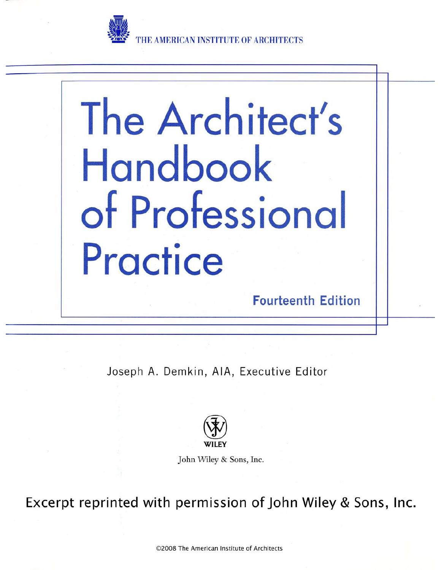

**E AMERICAN INSTIT** 

# The Architect's Handbook of Professional Practice

**Fourteenth Edition** 

Joseph A. Demkin, AIA, Executive Editor



John Wiley & Sons, Inc.

Excerpt reprinted with permission of John Wiley & Sons, Inc.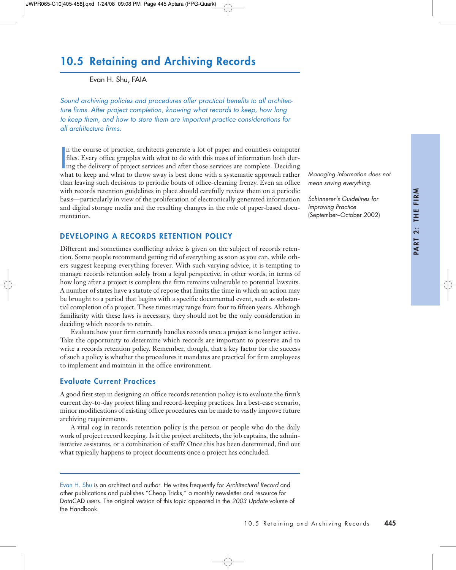# 10.5 Retaining and Archiving Records

Evan H. Shu, FAIA

*Sound archiving policies and procedures offer practical benefits to all architecture firms. After project completion, knowing what records to keep, how long to keep them, and how to store them are important practice considerations for all architecture firms.*

In the course of practice, architects generate a lot of paper and countless computer<br>files. Every office grapples with what to do with this mass of information both dur-<br>ing the delivery of project services and after those n the course of practice, architects generate a lot of paper and countless computer files. Every office grapples with what to do with this mass of information both durwhat to keep and what to throw away is best done with a systematic approach rather than leaving such decisions to periodic bouts of office-cleaning frenzy. Even an office with records retention guidelines in place should carefully review them on a periodic basis—particularly in view of the proliferation of electronically generated information and digital storage media and the resulting changes in the role of paper-based documentation.

# DEVELOPING A RECORDS RETENTION POLICY

Different and sometimes conflicting advice is given on the subject of records retention. Some people recommend getting rid of everything as soon as you can, while others suggest keeping everything forever. With such varying advice, it is tempting to manage records retention solely from a legal perspective, in other words, in terms of how long after a project is complete the firm remains vulnerable to potential lawsuits. A number of states have a statute of repose that limits the time in which an action may be brought to a period that begins with a specific documented event, such as substantial completion of a project. These times may range from four to fifteen years. Although familiarity with these laws is necessary, they should not be the only consideration in deciding which records to retain.

Evaluate how your firm currently handles records once a project is no longer active. Take the opportunity to determine which records are important to preserve and to write a records retention policy. Remember, though, that a key factor for the success of such a policy is whether the procedures it mandates are practical for firm employees to implement and maintain in the office environment.

# Evaluate Current Practices

A good first step in designing an office records retention policy is to evaluate the firm's current day-to-day project filing and record-keeping practices. In a best-case scenario, minor modifications of existing office procedures can be made to vastly improve future archiving requirements.

A vital cog in records retention policy is the person or people who do the daily work of project record keeping. Is it the project architects, the job captains, the administrative assistants, or a combination of staff? Once this has been determined, find out what typically happens to project documents once a project has concluded.

*Managing information does not mean saving everything.* 

*Schinnerer's Guidelines for Improving Practice* (September–October 2002)

Evan H. Shu is an architect and author. He writes frequently for *Architectural Record* and other publications and publishes "Cheap Tricks," a monthly newsletter and resource for DataCAD users. The original version of this topic appeared in the *2003 Update* volume of the Handbook.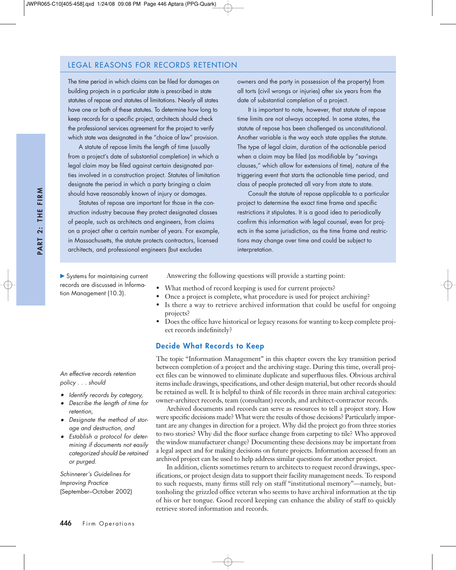#### LEGAL REASONS FOR RECORDS RETENTION

The time period in which claims can be filed for damages on building projects in a particular state is prescribed in state statutes of repose and statutes of limitations. Nearly all states have one or both of these statutes. To determine how long to keep records for a specific project, architects should check the professional services agreement for the project to verify which state was designated in the "choice of law" provision.

A statute of repose limits the length of time (usually from a project's date of substantial completion) in which a legal claim may be filed against certain designated parties involved in a construction project. Statutes of limitation designate the period in which a party bringing a claim should have reasonably known of injury or damages.

Statutes of repose are important for those in the construction industry because they protect designated classes of people, such as architects and engineers, from claims on a project after a certain number of years. For example, in Massachusetts, the statute protects contractors, licensed architects, and professional engineers (but excludes

owners and the party in possession of the property) from all torts (civil wrongs or injuries) after six years from the date of substantial completion of a project.

It is important to note, however, that statute of repose time limits are not always accepted. In some states, the statute of repose has been challenged as unconstitutional. Another variable is the way each state applies the statute. The type of legal claim, duration of the actionable period when a claim may be filed (as modifiable by "savings clauses," which allow for extensions of time), nature of the triggering event that starts the actionable time period, and class of people protected all vary from state to state.

Consult the statute of repose applicable to a particular project to determine the exact time frame and specific restrictions it stipulates. It is a good idea to periodically confirm this information with legal counsel, even for projects in the same jurisdiction, as the time frame and restrictions may change over time and could be subject to interpretation.

▶ Systems for maintaining current records are discussed in Information Management (10.3).

Answering the following questions will provide a starting point:

- What method of record keeping is used for current projects?
- Once a project is complete, what procedure is used for project archiving?
- Is there a way to retrieve archived information that could be useful for ongoing projects?
- Does the office have historical or legacy reasons for wanting to keep complete project records indefinitely?

#### Decide What Records to Keep

The topic "Information Management" in this chapter covers the key transition period between completion of a project and the archiving stage. During this time, overall project files can be winnowed to eliminate duplicate and superfluous files. Obvious archival items include drawings, specifications, and other design material, but other records should be retained as well. It is helpful to think of file records in three main archival categories: owner-architect records, team (consultant) records, and architect-contractor records.

Archived documents and records can serve as resources to tell a project story. How were specific decisions made? What were the results of those decisions? Particularly important are any changes in direction for a project. Why did the project go from three stories to two stories? Why did the floor surface change from carpeting to tile? Who approved the window manufacturer change? Documenting these decisions may be important from a legal aspect and for making decisions on future projects. Information accessed from an archived project can be used to help address similar questions for another project.

In addition, clients sometimes return to architects to request record drawings, specifications, or project design data to support their facility management needs. To respond to such requests, many firms still rely on staff "institutional memory"—namely, buttonholing the grizzled office veteran who seems to have archival information at the tip of his or her tongue. Good record keeping can enhance the ability of staff to quickly retrieve stored information and records.

*An effective records retention policy . . . should*

- *• Identify records by category,*
- *• Describe the length of time for retention,*
- *• Designate the method of storage and destruction, and*
- *• Establish a protocol for determining if documents not easily categorized should be retained or purged.*

*Schinnerer's Guidelines for Improving Practice* (September–October 2002)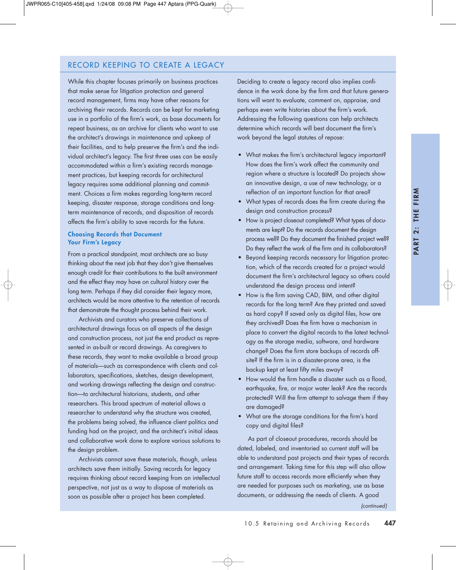# RECORD KEEPING TO CREATE A LEGACY

While this chapter focuses primarily on business practices that make sense for litigation protection and general record management, firms may have other reasons for archiving their records. Records can be kept for marketing use in a portfolio of the firm's work, as base documents for repeat business, as an archive for clients who want to use the architect's drawings in maintenance and upkeep of their facilities, and to help preserve the firm's and the individual architect's legacy. The first three uses can be easily accommodated within a firm's existing records management practices, but keeping records for architectural legacy requires some additional planning and commitment. Choices a firm makes regarding long-term record keeping, disaster response, storage conditions and longterm maintenance of records, and disposition of records affects the firm's ability to save records for the future.

#### Choosing Records that Document Your Firm's Legacy

From a practical standpoint, most architects are so busy thinking about the next job that they don't give themselves enough credit for their contributions to the built environment and the effect they may have on cultural history over the long term. Perhaps if they did consider their legacy more, architects would be more attentive to the retention of records that demonstrate the thought process behind their work.

Archivists and curators who preserve collections of architectural drawings focus on all aspects of the design and construction process, not just the end product as represented in as-built or record drawings. As caregivers to these records, they want to make available a broad group of materials—such as correspondence with clients and collaborators, specifications, sketches, design development, and working drawings reflecting the design and construction—to architectural historians, students, and other researchers. This broad spectrum of material allows a researcher to understand why the structure was created, the problems being solved, the influence client politics and funding had on the project, and the architect's initial ideas and collaborative work done to explore various solutions to the design problem.

Archivists cannot save these materials, though, unless architects save them initially. Saving records for legacy requires thinking about record keeping from an intellectual perspective, not just as a way to dispose of materials as soon as possible after a project has been completed.

Deciding to create a legacy record also implies confidence in the work done by the firm and that future generations will want to evaluate, comment on, appraise, and perhaps even write histories about the firm's work. Addressing the following questions can help architects determine which records will best document the firm's work beyond the legal statutes of repose:

- What makes the firm's architectural legacy important? How does the firm's work affect the community and region where a structure is located? Do projects show an innovative design, a use of new technology, or a reflection of an important function for that area?
- What types of records does the firm create during the design and construction process?
- How is project closeout completed? What types of documents are kept? Do the records document the design process well? Do they document the finished project well? Do they reflect the work of the firm and its collaborators?
- Beyond keeping records necessary for litigation protection, which of the records created for a project would document the firm's architectural legacy so others could understand the design process and intent?
- How is the firm saving CAD, BIM, and other digital records for the long term? Are they printed and saved as hard copy? If saved only as digital files, how are they archived? Does the firm have a mechanism in place to convert the digital records to the latest technology as the storage media, software, and hardware change? Does the firm store backups of records offsite? If the firm is in a disaster-prone area, is the backup kept at least fifty miles away?
- How would the firm handle a disaster such as a flood, earthquake, fire, or major water leak? Are the records protected? Will the firm attempt to salvage them if they are damaged?
- What are the storage conditions for the firm's hard copy and digital files?

As part of closeout procedures, records should be dated, labeled, and inventoried so current staff will be able to understand past projects and their types of records and arrangement. Taking time for this step will also allow future staff to access records more efficiently when they are needed for purposes such as marketing, use as base documents, or addressing the needs of clients. A good

*(continued)*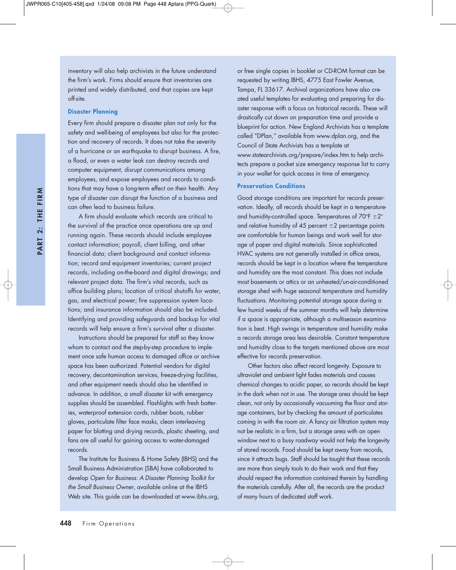PART 2: THE FIRM PART 2: THE FIRM inventory will also help archivists in the future understand the firm's work. Firms should ensure that inventories are printed and widely distributed, and that copies are kept off-site.

#### Disaster Planning

Every firm should prepare a disaster plan not only for the safety and well-being of employees but also for the protection and recovery of records. It does not take the severity of a hurricane or an earthquake to disrupt business. A fire, a flood, or even a water leak can destroy records and computer equipment, disrupt communications among employees, and expose employees and records to conditions that may have a long-term effect on their health. Any type of disaster can disrupt the function of a business and can often lead to business failure.

A firm should evaluate which records are critical to the survival of the practice once operations are up and running again. These records should include employee contact information; payroll, client billing, and other financial data; client background and contact information; record and equipment inventories; current project records, including on-the-board and digital drawings; and relevant project data. The firm's vital records, such as office building plans; location of critical shutoffs for water, gas, and electrical power; fire suppression system locations; and insurance information should also be included. Identifying and providing safeguards and backup for vital records will help ensure a firm's survival after a disaster.

Instructions should be prepared for staff so they know whom to contact and the step-by-step procedure to implement once safe human access to damaged office or archive space has been authorized. Potential vendors for digital recovery, decontamination services, freeze-drying facilities, and other equipment needs should also be identified in advance. In addition, a small disaster kit with emergency supplies should be assembled. Flashlights with fresh batteries, waterproof extension cords, rubber boots, rubber gloves, particulate filter face masks, clean interleaving paper for blotting and drying records, plastic sheeting, and fans are all useful for gaining access to water-damaged records.

The Institute for Business & Home Safety (IBHS) and the Small Business Administration (SBA) have collaborated to develop *Open for Business: A Disaster Planning Toolkit for the Small Business Owner*, available online at the IBHS Web site. This guide can be downloaded at www.ibhs.org, or free single copies in booklet or CD-ROM format can be requested by writing IBHS, 4775 East Fowler Avenue, Tampa, FL 33617. Archival organizations have also created useful templates for evaluating and preparing for disaster response with a focus on historical records. These will drastically cut down on preparation time and provide a blueprint for action. New England Archivists has a template called "DPlan," available from www.dplan.org, and the Council of State Archivists has a template at www.statearchivists.org/prepare/index.htm to help architects prepare a pocket size emergency response list to carry in your wallet for quick access in time of emergency.

#### Preservation Conditions

Good storage conditions are important for records preservation. Ideally, all records should be kept in a temperatureand humidity-controlled space. Temperatures of  $70^{\circ}F \pm 2^{\circ}$ and relative humidity of 45 percent  $\pm 2$  percentage points are comfortable for human beings and work well for storage of paper and digital materials. Since sophisticated HVAC systems are not generally installed in office areas, records should be kept in a location where the temperature and humidity are the most constant. This does not include most basements or attics or an unheated/un-air-conditioned storage shed with huge seasonal temperature and humidity fluctuations. Monitoring potential storage space during a few humid weeks of the summer months will help determine if a space is appropriate, although a multiseason examination is best. High swings in temperature and humidity make a records storage area less desirable. Constant temperature and humidity close to the targets mentioned above are most effective for records preservation.

Other factors also affect record longevity. Exposure to ultraviolet and ambient light fades materials and causes chemical changes to acidic paper, so records should be kept in the dark when not in use. The storage area should be kept clean, not only by occasionally vacuuming the floor and storage containers, but by checking the amount of particulates coming in with the room air. A fancy air filtration system may not be realistic in a firm, but a storage area with an open window next to a busy roadway would not help the longevity of stored records. Food should be kept away from records, since it attracts bugs. Staff should be taught that these records are more than simply tools to do their work and that they should respect the information contained therein by handling the materials carefully. After all, the records are the product of many hours of dedicated staff work.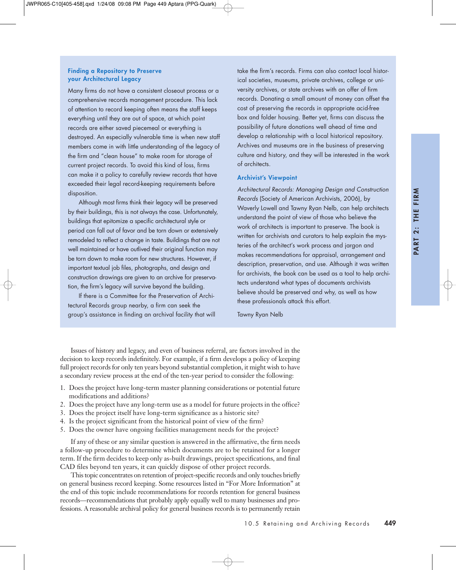#### Finding a Repository to Preserve your Architectural Legacy

Many firms do not have a consistent closeout process or a comprehensive records management procedure. This lack of attention to record keeping often means the staff keeps everything until they are out of space, at which point records are either saved piecemeal or everything is destroyed. An especially vulnerable time is when new staff members come in with little understanding of the legacy of the firm and "clean house" to make room for storage of current project records. To avoid this kind of loss, firms can make it a policy to carefully review records that have exceeded their legal record-keeping requirements before disposition.

Although most firms think their legacy will be preserved by their buildings, this is not always the case. Unfortunately, buildings that epitomize a specific architectural style or period can fall out of favor and be torn down or extensively remodeled to reflect a change in taste. Buildings that are not well maintained or have outlived their original function may be torn down to make room for new structures. However, if important textual job files, photographs, and design and construction drawings are given to an archive for preservation, the firm's legacy will survive beyond the building.

If there is a Committee for the Preservation of Architectural Records group nearby, a firm can seek the group's assistance in finding an archival facility that will take the firm's records. Firms can also contact local historical societies, museums, private archives, college or university archives, or state archives with an offer of firm records. Donating a small amount of money can offset the cost of preserving the records in appropriate acid-free box and folder housing. Better yet, firms can discuss the possibility of future donations well ahead of time and develop a relationship with a local historical repository. Archives and museums are in the business of preserving culture and history, and they will be interested in the work of architects.

#### Archivist's Viewpoint

*Architectural Records: Managing Design and Construction Records* (Society of American Archivists, 2006), by Waverly Lowell and Tawny Ryan Nelb, can help architects understand the point of view of those who believe the work of architects is important to preserve. The book is written for archivists and curators to help explain the mysteries of the architect's work process and jargon and makes recommendations for appraisal, arrangement and description, preservation, and use. Although it was written for archivists, the book can be used as a tool to help architects understand what types of documents archivists believe should be preserved and why, as well as how these professionals attack this effort.

Tawny Ryan Nelb

Issues of history and legacy, and even of business referral, are factors involved in the decision to keep records indefinitely. For example, if a firm develops a policy of keeping full project records for only ten years beyond substantial completion, it might wish to have a secondary review process at the end of the ten-year period to consider the following:

- 1. Does the project have long-term master planning considerations or potential future modifications and additions?
- 2. Does the project have any long-term use as a model for future projects in the office?
- 3. Does the project itself have long-term significance as a historic site?
- 4. Is the project significant from the historical point of view of the firm?
- 5. Does the owner have ongoing facilities management needs for the project?

If any of these or any similar question is answered in the affirmative, the firm needs a follow-up procedure to determine which documents are to be retained for a longer term. If the firm decides to keep only as-built drawings, project specifications, and final CAD files beyond ten years, it can quickly dispose of other project records.

This topic concentrates on retention of project-specific records and only touches briefly on general business record keeping. Some resources listed in "For More Information" at the end of this topic include recommendations for records retention for general business records—recommendations that probably apply equally well to many businesses and professions. A reasonable archival policy for general business records is to permanently retain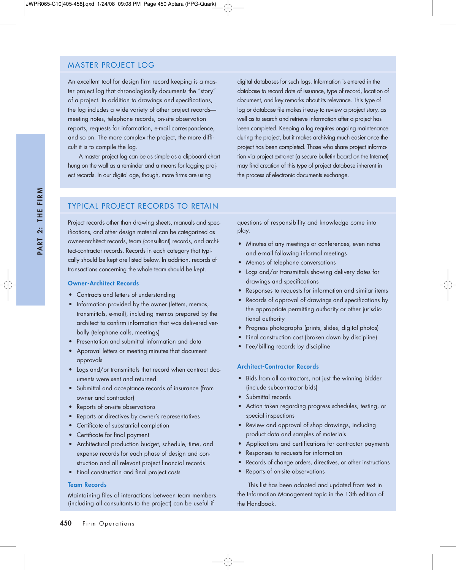# MASTER PROJECT LOG

An excellent tool for design firm record keeping is a master project log that chronologically documents the "story" of a project. In addition to drawings and specifications, the log includes a wide variety of other project records meeting notes, telephone records, on-site observation reports, requests for information, e-mail correspondence, and so on. The more complex the project, the more difficult it is to compile the log.

A master project log can be as simple as a clipboard chart hung on the wall as a reminder and a means for logging project records. In our digital age, though, more firms are using

digital databases for such logs. Information is entered in the database to record date of issuance, type of record, location of document, and key remarks about its relevance. This type of log or database file makes it easy to review a project story, as well as to search and retrieve information after a project has been completed. Keeping a log requires ongoing maintenance during the project, but it makes archiving much easier once the project has been completed. Those who share project information via project extranet (a secure bulletin board on the Internet) may find creation of this type of project database inherent in the process of electronic documents exchange.

# TYPICAL PROJECT RECORDS TO RETAIN

Project records other than drawing sheets, manuals and specifications, and other design material can be categorized as owner-architect records, team (consultant) records, and architect-contractor records. Records in each category that typically should be kept are listed below. In addition, records of transactions concerning the whole team should be kept.

#### Owner-Architect Records

- Contracts and letters of understanding
- Information provided by the owner (letters, memos, transmittals, e-mail), including memos prepared by the architect to confirm information that was delivered verbally (telephone calls, meetings)
- Presentation and submittal information and data
- Approval letters or meeting minutes that document approvals
- Logs and/or transmittals that record when contract documents were sent and returned
- Submittal and acceptance records of insurance (from owner and contractor)
- Reports of on-site observations
- Reports or directives by owner's representatives
- Certificate of substantial completion
- Certificate for final payment
- Architectural production budget, schedule, time, and expense records for each phase of design and construction and all relevant project financial records
- Final construction and final project costs

#### Team Records

Maintaining files of interactions between team members (including all consultants to the project) can be useful if

questions of responsibility and knowledge come into play.

- Minutes of any meetings or conferences, even notes and e-mail following informal meetings
- Memos of telephone conversations
- Logs and/or transmittals showing delivery dates for drawings and specifications
- Responses to requests for information and similar items
- Records of approval of drawings and specifications by the appropriate permitting authority or other jurisdictional authority
- Progress photographs (prints, slides, digital photos)
- Final construction cost (broken down by discipline)
- Fee/billing records by discipline

#### Architect-Contractor Records

- Bids from all contractors, not just the winning bidder (include subcontractor bids)
- Submittal records
- Action taken regarding progress schedules, testing, or special inspections
- Review and approval of shop drawings, including product data and samples of materials
- Applications and certifications for contractor payments
- Responses to requests for information
- Records of change orders, directives, or other instructions
- Reports of on-site observations

This list has been adapted and updated from text in the Information Management topic in the 13th edition of the Handbook.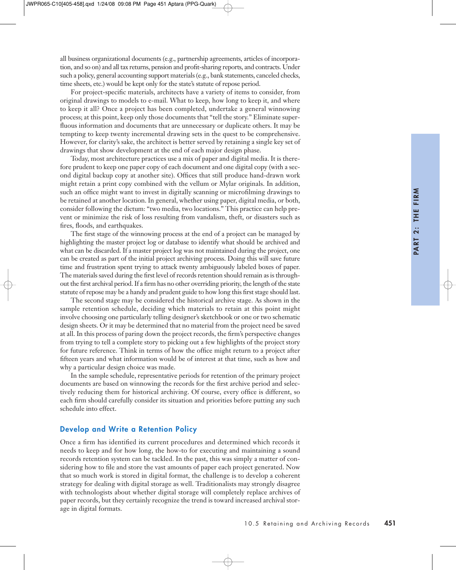all business organizational documents (e.g., partnership agreements, articles of incorporation, and so on) and all tax returns, pension and profit-sharing reports, and contracts. Under such a policy, general accounting support materials (e.g., bank statements, canceled checks, time sheets, etc.) would be kept only for the state's statute of repose period.

For project-specific materials, architects have a variety of items to consider, from original drawings to models to e-mail. What to keep, how long to keep it, and where to keep it all? Once a project has been completed, undertake a general winnowing process; at this point, keep only those documents that "tell the story." Eliminate superfluous information and documents that are unnecessary or duplicate others. It may be tempting to keep twenty incremental drawing sets in the quest to be comprehensive. However, for clarity's sake, the architect is better served by retaining a single key set of drawings that show development at the end of each major design phase.

Today, most architecture practices use a mix of paper and digital media. It is therefore prudent to keep one paper copy of each document and one digital copy (with a second digital backup copy at another site). Offices that still produce hand-drawn work might retain a print copy combined with the vellum or Mylar originals. In addition, such an office might want to invest in digitally scanning or microfilming drawings to be retained at another location. In general, whether using paper, digital media, or both, consider following the dictum: "two media, two locations." This practice can help prevent or minimize the risk of loss resulting from vandalism, theft, or disasters such as fires, floods, and earthquakes.

The first stage of the winnowing process at the end of a project can be managed by highlighting the master project log or database to identify what should be archived and what can be discarded. If a master project log was not maintained during the project, one can be created as part of the initial project archiving process. Doing this will save future time and frustration spent trying to attack twenty ambiguously labeled boxes of paper. The materials saved during the first level of records retention should remain as is throughout the first archival period. If a firm has no other overriding priority, the length of the state statute of repose may be a handy and prudent guide to how long this first stage should last.

The second stage may be considered the historical archive stage. As shown in the sample retention schedule, deciding which materials to retain at this point might involve choosing one particularly telling designer's sketchbook or one or two schematic design sheets. Or it may be determined that no material from the project need be saved at all. In this process of paring down the project records, the firm's perspective changes from trying to tell a complete story to picking out a few highlights of the project story for future reference. Think in terms of how the office might return to a project after fifteen years and what information would be of interest at that time, such as how and why a particular design choice was made.

In the sample schedule, representative periods for retention of the primary project documents are based on winnowing the records for the first archive period and selectively reducing them for historical archiving. Of course, every office is different, so each firm should carefully consider its situation and priorities before putting any such schedule into effect.

#### Develop and Write a Retention Policy

Once a firm has identified its current procedures and determined which records it needs to keep and for how long, the how-to for executing and maintaining a sound records retention system can be tackled. In the past, this was simply a matter of considering how to file and store the vast amounts of paper each project generated. Now that so much work is stored in digital format, the challenge is to develop a coherent strategy for dealing with digital storage as well. Traditionalists may strongly disagree with technologists about whether digital storage will completely replace archives of paper records, but they certainly recognize the trend is toward increased archival storage in digital formats.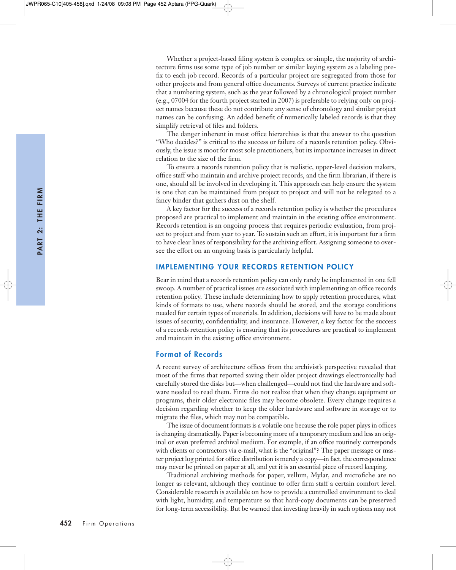Whether a project-based filing system is complex or simple, the majority of architecture firms use some type of job number or similar keying system as a labeling prefix to each job record. Records of a particular project are segregated from those for other projects and from general office documents. Surveys of current practice indicate that a numbering system, such as the year followed by a chronological project number (e.g., 07004 for the fourth project started in 2007) is preferable to relying only on project names because these do not contribute any sense of chronology and similar project names can be confusing. An added benefit of numerically labeled records is that they simplify retrieval of files and folders.

The danger inherent in most office hierarchies is that the answer to the question "Who decides?" is critical to the success or failure of a records retention policy. Obviously, the issue is moot for most sole practitioners, but its importance increases in direct relation to the size of the firm.

To ensure a records retention policy that is realistic, upper-level decision makers, office staff who maintain and archive project records, and the firm librarian, if there is one, should all be involved in developing it. This approach can help ensure the system is one that can be maintained from project to project and will not be relegated to a fancy binder that gathers dust on the shelf.

A key factor for the success of a records retention policy is whether the procedures proposed are practical to implement and maintain in the existing office environment. Records retention is an ongoing process that requires periodic evaluation, from project to project and from year to year. To sustain such an effort, it is important for a firm to have clear lines of responsibility for the archiving effort. Assigning someone to oversee the effort on an ongoing basis is particularly helpful.

# IMPLEMENTING YOUR RECORDS RETENTION POLICY

Bear in mind that a records retention policy can only rarely be implemented in one fell swoop. A number of practical issues are associated with implementing an office records retention policy. These include determining how to apply retention procedures, what kinds of formats to use, where records should be stored, and the storage conditions needed for certain types of materials. In addition, decisions will have to be made about issues of security, confidentiality, and insurance. However, a key factor for the success of a records retention policy is ensuring that its procedures are practical to implement and maintain in the existing office environment.

#### Format of Records

A recent survey of architecture offices from the archivist's perspective revealed that most of the firms that reported saving their older project drawings electronically had carefully stored the disks but—when challenged—could not find the hardware and software needed to read them. Firms do not realize that when they change equipment or programs, their older electronic files may become obsolete. Every change requires a decision regarding whether to keep the older hardware and software in storage or to migrate the files, which may not be compatible.

The issue of document formats is a volatile one because the role paper plays in offices is changing dramatically. Paper is becoming more of a temporary medium and less an original or even preferred archival medium. For example, if an office routinely corresponds with clients or contractors via e-mail, what is the "original"? The paper message or master project log printed for office distribution is merely a copy—in fact, the correspondence may never be printed on paper at all, and yet it is an essential piece of record keeping.

Traditional archiving methods for paper, vellum, Mylar, and microfiche are no longer as relevant, although they continue to offer firm staff a certain comfort level. Considerable research is available on how to provide a controlled environment to deal with light, humidity, and temperature so that hard-copy documents can be preserved for long-term accessibility. But be warned that investing heavily in such options may not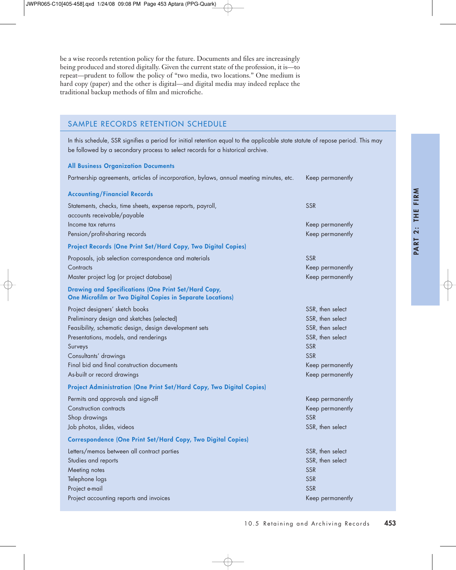be a wise records retention policy for the future. Documents and files are increasingly being produced and stored digitally. Given the current state of the profession, it is—to repeat—prudent to follow the policy of "two media, two locations." One medium is hard copy (paper) and the other is digital—and digital media may indeed replace the traditional backup methods of film and microfiche.

# SAMPLE RECORDS RETENTION SCHEDULE

In this schedule, SSR signifies a period for initial retention equal to the applicable state statute of repose period. This may be followed by a secondary process to select records for a historical archive.

#### All Business Organization Documents

| Partnership agreements, articles of incorporation, bylaws, annual meeting minutes, etc.                                   | Keep permanently |
|---------------------------------------------------------------------------------------------------------------------------|------------------|
| <b>Accounting/Financial Records</b>                                                                                       |                  |
| Statements, checks, time sheets, expense reports, payroll,<br>accounts receivable/payable                                 | <b>SSR</b>       |
| Income tax returns                                                                                                        | Keep permanently |
| Pension/profit-sharing records                                                                                            | Keep permanently |
| Project Records (One Print Set/Hard Copy, Two Digital Copies)                                                             |                  |
| Proposals, job selection correspondence and materials                                                                     | <b>SSR</b>       |
| Contracts                                                                                                                 | Keep permanently |
| Master project log (or project database)                                                                                  | Keep permanently |
| Drawing and Specifications (One Print Set/Hard Copy,<br><b>One Microfilm or Two Digital Copies in Separate Locations)</b> |                  |
| Project designers' sketch books                                                                                           | SSR, then select |
| Preliminary design and sketches (selected)                                                                                | SSR, then select |
| Feasibility, schematic design, design development sets                                                                    | SSR, then select |
| Presentations, models, and renderings                                                                                     | SSR, then select |
| Surveys                                                                                                                   | <b>SSR</b>       |
| Consultants' drawings                                                                                                     | <b>SSR</b>       |
| Final bid and final construction documents                                                                                | Keep permanently |
| As-built or record drawings                                                                                               | Keep permanently |
| Project Administration (One Print Set/Hard Copy, Two Digital Copies)                                                      |                  |
| Permits and approvals and sign-off                                                                                        | Keep permanently |
| Construction contracts                                                                                                    | Keep permanently |
| Shop drawings                                                                                                             | <b>SSR</b>       |
| Job photos, slides, videos                                                                                                | SSR, then select |
| <b>Correspondence (One Print Set/Hard Copy, Two Digital Copies)</b>                                                       |                  |
| Letters/memos between all contract parties                                                                                | SSR, then select |
| Studies and reports                                                                                                       | SSR, then select |
| Meeting notes                                                                                                             | <b>SSR</b>       |
| Telephone logs                                                                                                            | <b>SSR</b>       |
| Project e-mail                                                                                                            | <b>SSR</b>       |
| Project accounting reports and invoices                                                                                   | Keep permanently |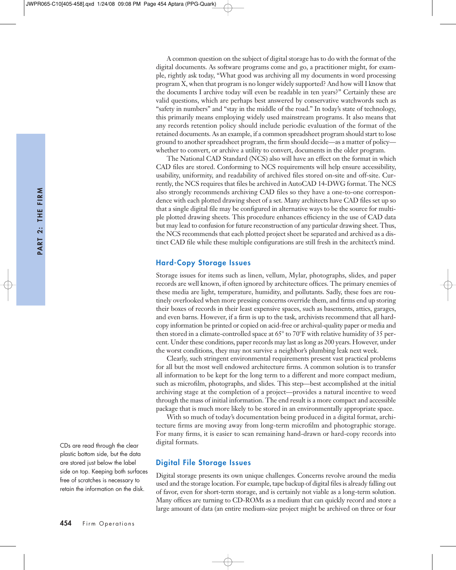A common question on the subject of digital storage has to do with the format of the digital documents. As software programs come and go, a practitioner might, for example, rightly ask today, "What good was archiving all my documents in word processing program X, when that program is no longer widely supported? And how will I know that the documents I archive today will even be readable in ten years?" Certainly these are valid questions, which are perhaps best answered by conservative watchwords such as "safety in numbers" and "stay in the middle of the road." In today's state of technology, this primarily means employing widely used mainstream programs. It also means that any records retention policy should include periodic evaluation of the format of the retained documents. As an example, if a common spreadsheet program should start to lose ground to another spreadsheet program, the firm should decide—as a matter of policy whether to convert, or archive a utility to convert, documents in the older program.

The National CAD Standard (NCS) also will have an effect on the format in which CAD files are stored. Conforming to NCS requirements will help ensure accessibility, usability, uniformity, and readability of archived files stored on-site and off-site. Currently, the NCS requires that files be archived in AutoCAD 14-DWG format. The NCS also strongly recommends archiving CAD files so they have a one-to-one correspondence with each plotted drawing sheet of a set. Many architects have CAD files set up so that a single digital file may be configured in alternative ways to be the source for multiple plotted drawing sheets. This procedure enhances efficiency in the use of CAD data but may lead to confusion for future reconstruction of any particular drawing sheet. Thus, the NCS recommends that each plotted project sheet be separated and archived as a distinct CAD file while these multiple configurations are still fresh in the architect's mind.

#### Hard-Copy Storage Issues

Storage issues for items such as linen, vellum, Mylar, photographs, slides, and paper records are well known, if often ignored by architecture offices. The primary enemies of these media are light, temperature, humidity, and pollutants. Sadly, these foes are routinely overlooked when more pressing concerns override them, and firms end up storing their boxes of records in their least expensive spaces, such as basements, attics, garages, and even barns. However, if a firm is up to the task, archivists recommend that all hardcopy information be printed or copied on acid-free or archival-quality paper or media and then stored in a climate-controlled space at  $65^{\circ}$  to  $70^{\circ}$ F with relative humidity of 35 percent. Under these conditions, paper records may last as long as 200 years. However, under the worst conditions, they may not survive a neighbor's plumbing leak next week.

Clearly, such stringent environmental requirements present vast practical problems for all but the most well endowed architecture firms. A common solution is to transfer all information to be kept for the long term to a different and more compact medium, such as microfilm, photographs, and slides. This step—best accomplished at the initial archiving stage at the completion of a project—provides a natural incentive to weed through the mass of initial information. The end result is a more compact and accessible package that is much more likely to be stored in an environmentally appropriate space.

With so much of today's documentation being produced in a digital format, architecture firms are moving away from long-term microfilm and photographic storage. For many firms, it is easier to scan remaining hand-drawn or hard-copy records into digital formats.

#### Digital File Storage Issues

Digital storage presents its own unique challenges. Concerns revolve around the media used and the storage location. For example, tape backup of digital files is already falling out of favor, even for short-term storage, and is certainly not viable as a long-term solution. Many offices are turning to CD-ROMs as a medium that can quickly record and store a large amount of data (an entire medium-size project might be archived on three or four

CDs are read through the clear plastic bottom side, but the data are stored just below the label side on top. Keeping both surfaces free of scratches is necessary to retain the information on the disk.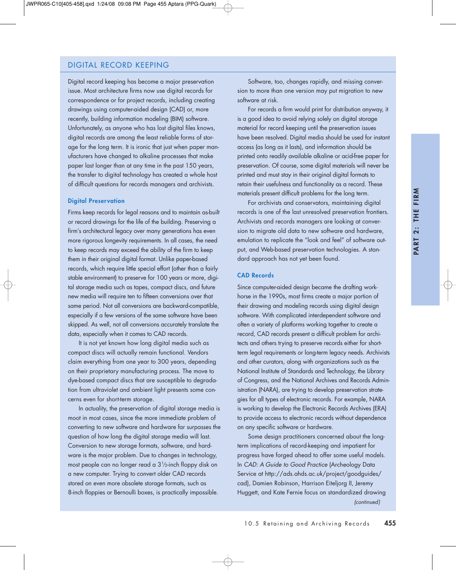# DIGITAL RECORD KEEPING

Digital record keeping has become a major preservation issue. Most architecture firms now use digital records for correspondence or for project records, including creating drawings using computer-aided design (CAD) or, more recently, building information modeling (BIM) software. Unfortunately, as anyone who has lost digital files knows, digital records are among the least reliable forms of storage for the long term. It is ironic that just when paper manufacturers have changed to alkaline processes that make paper last longer than at any time in the past 150 years, the transfer to digital technology has created a whole host of difficult questions for records managers and archivists.

#### Digital Preservation

Firms keep records for legal reasons and to maintain as-built or record drawings for the life of the building. Preserving a firm's architectural legacy over many generations has even more rigorous longevity requirements. In all cases, the need to keep records may exceed the ability of the firm to keep them in their original digital format. Unlike paper-based records, which require little special effort (other than a fairly stable environment) to preserve for 100 years or more, digital storage media such as tapes, compact discs, and future new media will require ten to fifteen conversions over that same period. Not all conversions are backward-compatible, especially if a few versions of the same software have been skipped. As well, not all conversions accurately translate the data, especially when it comes to CAD records.

It is not yet known how long digital media such as compact discs will actually remain functional. Vendors claim everything from one year to 300 years, depending on their proprietary manufacturing process. The move to dye-based compact discs that are susceptible to degradation from ultraviolet and ambient light presents some concerns even for short-term storage.

In actuality, the preservation of digital storage media is moot in most cases, since the more immediate problem of converting to new software and hardware far surpasses the question of how long the digital storage media will last. Conversion to new storage formats, software, and hardware is the major problem. Due to changes in technology, most people can no longer read a 31⁄2-inch floppy disk on a new computer. Trying to convert older CAD records stored on even more obsolete storage formats, such as 8-inch floppies or Bernoulli boxes, is practically impossible.

Software, too, changes rapidly, and missing conversion to more than one version may put migration to new software at risk.

For records a firm would print for distribution anyway, it is a good idea to avoid relying solely on digital storage material for record keeping until the preservation issues have been resolved. Digital media should be used for instant access (as long as it lasts), and information should be printed onto readily available alkaline or acid-free paper for preservation. Of course, some digital materials will never be printed and must stay in their original digital formats to retain their usefulness and functionality as a record. These materials present difficult problems for the long term.

For archivists and conservators, maintaining digital records is one of the last unresolved preservation frontiers. Archivists and records managers are looking at conversion to migrate old data to new software and hardware, emulation to replicate the "look and feel" of software output, and Web-based preservation technologies. A standard approach has not yet been found.

#### CAD Records

Since computer-aided design became the drafting workhorse in the 1990s, most firms create a major portion of their drawing and modeling records using digital design software. With complicated interdependent software and often a variety of platforms working together to create a record, CAD records present a difficult problem for architects and others trying to preserve records either for shortterm legal requirements or long-term legacy needs. Archivists and other curators, along with organizations such as the National Institute of Standards and Technology, the Library of Congress, and the National Archives and Records Administration (NARA), are trying to develop preservation strategies for all types of electronic records. For example, NARA is working to develop the Electronic Records Archives (ERA) to provide access to electronic records without dependence on any specific software or hardware.

Some design practitioners concerned about the longterm implications of record-keeping and impatient for progress have forged ahead to offer some useful models. In *CAD: A Guide to Good Practice* (Archeology Data Service at http://ads.ahds.ac.uk/project/goodguides/ cad), Damien Robinson, Harrison Eiteljorg II, Jeremy Huggett, and Kate Fernie focus on standardized drawing *(continued)*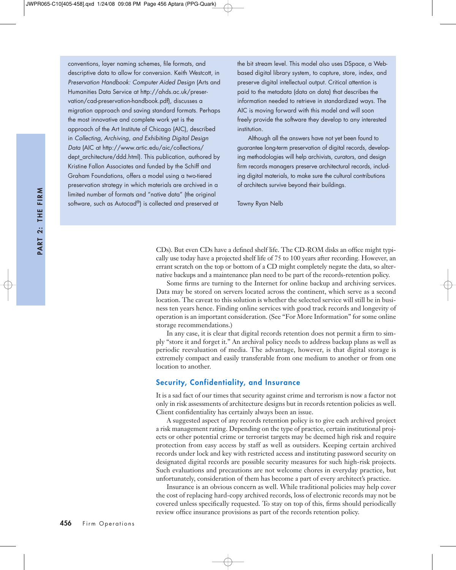conventions, layer naming schemes, file formats, and descriptive data to allow for conversion. Keith Westcott, in *Preservation Handbook: Computer Aided Design* (Arts and Humanities Data Service at http://ahds.ac.uk/preservation/cad-preservation-handbook.pdf), discusses a migration approach and saving standard formats. Perhaps the most innovative and complete work yet is the approach of the Art Institute of Chicago (AIC), described in *Collecting, Archiving, and Exhibiting Digital Design Data* (AIC at http://www.artic.edu/aic/collections/ dept\_architecture/ddd.html). This publication, authored by Kristine Fallon Associates and funded by the Schiff and Graham Foundations, offers a model using a two-tiered preservation strategy in which materials are archived in a limited number of formats and "native data" (the original software, such as Autocad®) is collected and preserved at

the bit stream level. This model also uses DSpace, a Webbased digital library system, to capture, store, index, and preserve digital intellectual output. Critical attention is paid to the metadata (data on data) that describes the information needed to retrieve in standardized ways. The AIC is moving forward with this model and will soon freely provide the software they develop to any interested institution.

Although all the answers have not yet been found to guarantee long-term preservation of digital records, developing methodologies will help archivists, curators, and design firm records managers preserve architectural records, including digital materials, to make sure the cultural contributions of architects survive beyond their buildings.

Tawny Ryan Nelb

CDs). But even CDs have a defined shelf life. The CD-ROM disks an office might typically use today have a projected shelf life of 75 to 100 years after recording. However, an errant scratch on the top or bottom of a CD might completely negate the data, so alternative backups and a maintenance plan need to be part of the records-retention policy.

Some firms are turning to the Internet for online backup and archiving services. Data may be stored on servers located across the continent, which serve as a second location. The caveat to this solution is whether the selected service will still be in business ten years hence. Finding online services with good track records and longevity of operation is an important consideration. (See "For More Information" for some online storage recommendations.)

In any case, it is clear that digital records retention does not permit a firm to simply "store it and forget it." An archival policy needs to address backup plans as well as periodic reevaluation of media. The advantage, however, is that digital storage is extremely compact and easily transferable from one medium to another or from one location to another.

# Security, Confidentiality, and Insurance

It is a sad fact of our times that security against crime and terrorism is now a factor not only in risk assessments of architecture designs but in records retention policies as well. Client confidentiality has certainly always been an issue.

A suggested aspect of any records retention policy is to give each archived project a risk management rating. Depending on the type of practice, certain institutional projects or other potential crime or terrorist targets may be deemed high risk and require protection from easy access by staff as well as outsiders. Keeping certain archived records under lock and key with restricted access and instituting password security on designated digital records are possible security measures for such high-risk projects. Such evaluations and precautions are not welcome chores in everyday practice, but unfortunately, consideration of them has become a part of every architect's practice.

Insurance is an obvious concern as well. While traditional policies may help cover the cost of replacing hard-copy archived records, loss of electronic records may not be covered unless specifically requested. To stay on top of this, firms should periodically review office insurance provisions as part of the records retention policy.